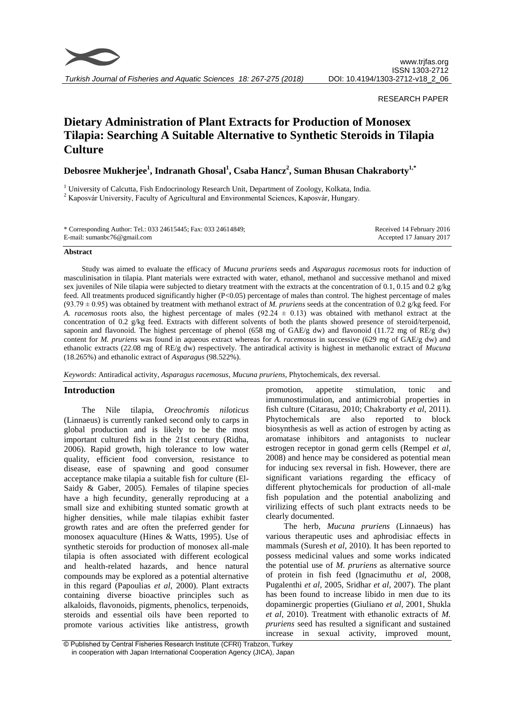

*Turkish Journal of Fisheries and Aquatic Sciences 18: 267-275 (2018)*

## RESEARCH PAPER

# **Dietary Administration of Plant Extracts for Production of Monosex Tilapia: Searching A Suitable Alternative to Synthetic Steroids in Tilapia Culture**

**Debosree Mukherjee<sup>1</sup> , Indranath Ghosal<sup>1</sup> , Csaba Hancz<sup>2</sup> , Suman Bhusan Chakraborty1,\***

<sup>1</sup> University of Calcutta, Fish Endocrinology Research Unit, Department of Zoology, Kolkata, India. <sup>2</sup> Kaposvár University, Faculty of Agricultural and Environmental Sciences, Kaposvár, Hungary.

| * Corresponding Author: Tel.: 033 24615445; Fax: 033 24614849; | Received 14 February 2016 |
|----------------------------------------------------------------|---------------------------|
| E-mail: sumanbc76@gmail.com                                    | Accepted 17 January 2017  |

#### **Abstract**

Study was aimed to evaluate the efficacy of *Mucuna pruriens* seeds and *Asparagus racemosus* roots for induction of masculinisation in tilapia. Plant materials were extracted with water, ethanol, methanol and successive methanol and mixed sex juveniles of Nile tilapia were subjected to dietary treatment with the extracts at the concentration of 0.1, 0.15 and 0.2 g/kg feed. All treatments produced significantly higher (P<0.05) percentage of males than control. The highest percentage of males (93.79 ± 0.95) was obtained by treatment with methanol extract of *M. pruriens* seeds at the concentration of 0.2 g/kg feed. For *A. racemosus* roots also, the highest percentage of males (92.24  $\pm$  0.13) was obtained with methanol extract at the concentration of 0.2 g/kg feed. Extracts with different solvents of both the plants showed presence of steroid/terpenoid, saponin and flavonoid. The highest percentage of phenol (658 mg of GAE/g dw) and flavonoid (11.72 mg of RE/g dw) content for *M. pruriens* was found in aqueous extract whereas for *A. racemosus* in successive (629 mg of GAE/g dw) and ethanolic extracts (22.08 mg of RE/g dw) respectively. The antiradical activity is highest in methanolic extract of *Mucuna*  (18.265%) and ethanolic extract of *Asparagus* (98.522%).

*Keywords*: Antiradical activity, *Asparagus racemosus, Mucuna pruriens,* Phytochemicals, dex reversal.

# **Introduction**

The Nile tilapia, *Oreochromis niloticus* (Linnaeus) is currently ranked second only to carps in global production and is likely to be the most important cultured fish in the 21st century (Ridha, 2006). Rapid growth, high tolerance to low water quality, efficient food conversion, resistance to disease, ease of spawning and good consumer acceptance make tilapia a suitable fish for culture (El-Saidy & Gaber, 2005). Females of tilapine species have a high fecundity, generally reproducing at a small size and exhibiting stunted somatic growth at higher densities, while male tilapias exhibit faster growth rates and are often the preferred gender for monosex aquaculture (Hines & Watts, 1995). Use of synthetic steroids for production of monosex all-male tilapia is often associated with different ecological and health-related hazards, and hence natural compounds may be explored as a potential alternative in this regard (Papoulias *et al*, 2000). Plant extracts containing diverse bioactive principles such as alkaloids, flavonoids, pigments, phenolics, terpenoids, steroids and essential oils have been reported to promote various activities like antistress, growth

promotion, appetite stimulation, tonic and immunostimulation, and antimicrobial properties in fish culture (Citarasu, 2010; Chakraborty *et al*, 2011). Phytochemicals are also reported to block biosynthesis as well as action of estrogen by acting as aromatase inhibitors and antagonists to nuclear estrogen receptor in gonad germ cells (Rempel *et al*, 2008) and hence may be considered as potential mean for inducing sex reversal in fish. However, there are significant variations regarding the efficacy of different phytochemicals for production of all-male fish population and the potential anabolizing and virilizing effects of such plant extracts needs to be clearly documented.

The herb, *Mucuna pruriens* (Linnaeus) has various therapeutic uses and aphrodisiac effects in mammals (Suresh *et al*, 2010). It has been reported to possess medicinal values and some works indicated the potential use of *M. pruriens* as alternative source of protein in fish feed (Ignacimuthu *et al*, 2008, Pugalenthi *et al*, 2005, Sridhar *et al*, 2007). The plant has been found to increase libido in men due to its dopaminergic properties (Giuliano *et al*, 2001, Shukla *et al*, 2010). Treatment with ethanolic extracts of *M. pruriens* seed has resulted a significant and sustained increase in sexual activity, improved mount,

<sup>©</sup> Published by Central Fisheries Research Institute (CFRI) Trabzon, Turkey in cooperation with Japan International Cooperation Agency (JICA), Japan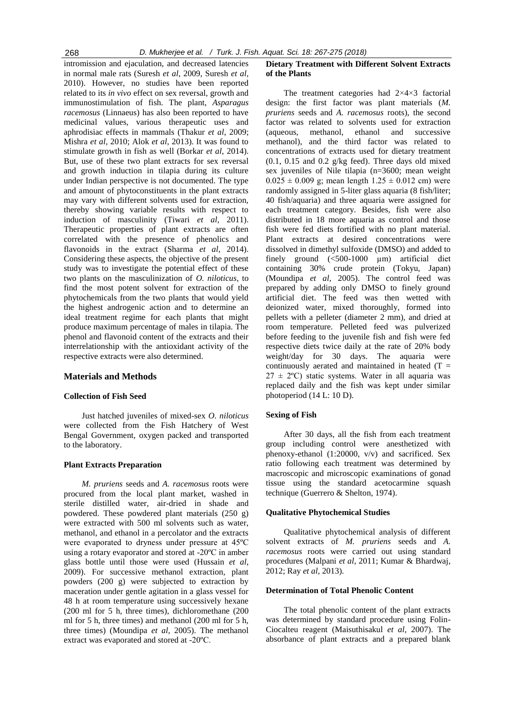intromission and ejaculation, and decreased latencies in normal male rats (Suresh *et al*, 2009, Suresh *et al*, 2010). However, no studies have been reported related to its *in vivo* effect on sex reversal, growth and immunostimulation of fish. The plant, *Asparagus racemosus* (Linnaeus) has also been reported to have medicinal values, various therapeutic uses and aphrodisiac effects in mammals (Thakur *et al*, 2009; Mishra *et al*, 2010; Alok *et al*, 2013). It was found to stimulate growth in fish as well (Borkar *et al*, 2014). But, use of these two plant extracts for sex reversal and growth induction in tilapia during its culture under Indian perspective is not documented. The type and amount of phytoconstituents in the plant extracts may vary with different solvents used for extraction, thereby showing variable results with respect to induction of masculinity (Tiwari *et al*, 2011). Therapeutic properties of plant extracts are often correlated with the presence of phenolics and flavonoids in the extract (Sharma *et al*, 2014). Considering these aspects, the objective of the present study was to investigate the potential effect of these two plants on the masculinization of *O. niloticus*, to find the most potent solvent for extraction of the phytochemicals from the two plants that would yield the highest androgenic action and to determine an ideal treatment regime for each plants that might produce maximum percentage of males in tilapia. The phenol and flavonoid content of the extracts and their interrelationship with the antioxidant activity of the respective extracts were also determined.

## **Materials and Methods**

#### **Collection of Fish Seed**

Just hatched juveniles of mixed-sex *O. niloticus* were collected from the Fish Hatchery of West Bengal Government, oxygen packed and transported to the laboratory.

## **Plant Extracts Preparation**

*M. pruriens* seeds and *A. racemosus* roots were procured from the local plant market, washed in sterile distilled water, air-dried in shade and powdered. These powdered plant materials (250 g) were extracted with 500 ml solvents such as water, methanol, and ethanol in a percolator and the extracts were evaporated to dryness under pressure at 45ºC using a rotary evaporator and stored at -20ºC in amber glass bottle until those were used (Hussain *et al*, 2009). For successive methanol extraction, plant powders (200 g) were subjected to extraction by maceration under gentle agitation in a glass vessel for 48 h at room temperature using successively hexane (200 ml for 5 h, three times), dichloromethane (200 ml for 5 h, three times) and methanol (200 ml for 5 h, three times) (Moundipa *et al*, 2005). The methanol extract was evaporated and stored at -20ºC.

# **Dietary Treatment with Different Solvent Extracts of the Plants**

The treatment categories had 2×4×3 factorial design: the first factor was plant materials (*M. pruriens* seeds and *A. racemosus* roots), the second factor was related to solvents used for extraction (aqueous, methanol, ethanol and successive methanol), and the third factor was related to concentrations of extracts used for dietary treatment (0.1, 0.15 and 0.2 g/kg feed). Three days old mixed sex juveniles of Nile tilapia (n=3600; mean weight  $0.025 \pm 0.009$  g; mean length  $1.25 \pm 0.012$  cm) were randomly assigned in 5-liter glass aquaria (8 fish/liter; 40 fish/aquaria) and three aquaria were assigned for each treatment category. Besides, fish were also distributed in 18 more aquaria as control and those fish were fed diets fortified with no plant material. Plant extracts at desired concentrations were dissolved in dimethyl sulfoxide (DMSO) and added to finely ground (<500-1000 µm) artificial diet containing 30% crude protein (Tokyu, Japan) (Moundipa *et al*, 2005). The control feed was prepared by adding only DMSO to finely ground artificial diet. The feed was then wetted with deionized water, mixed thoroughly, formed into pellets with a pelleter (diameter 2 mm), and dried at room temperature. Pelleted feed was pulverized before feeding to the juvenile fish and fish were fed respective diets twice daily at the rate of 20% body weight/day for 30 days. The aquaria were continuously aerated and maintained in heated  $(T =$  $27 \pm 2$ °C) static systems. Water in all aquaria was replaced daily and the fish was kept under similar photoperiod (14 L: 10 D).

## **Sexing of Fish**

After 30 days, all the fish from each treatment group including control were anesthetized with phenoxy-ethanol (1:20000, v/v) and sacrificed. Sex ratio following each treatment was determined by macroscopic and microscopic examinations of gonad tissue using the standard acetocarmine squash technique (Guerrero & Shelton, 1974).

#### **Qualitative Phytochemical Studies**

Qualitative phytochemical analysis of different solvent extracts of *M. pruriens* seeds and *A. racemosus* roots were carried out using standard procedures (Malpani *et al*, 2011; Kumar & Bhardwaj, 2012; Ray *et al*, 2013).

## **Determination of Total Phenolic Content**

The total phenolic content of the plant extracts was determined by standard procedure using Folin-Ciocalteu reagent (Maisuthisakul *et al*, 2007). The absorbance of plant extracts and a prepared blank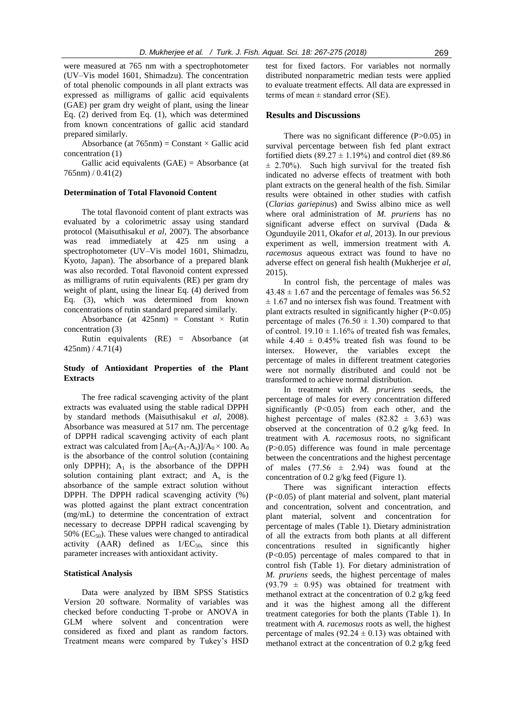were measured at 765 nm with a spectrophotometer (UV–Vis model 1601, Shimadzu). The concentration of total phenolic compounds in all plant extracts was expressed as milligrams of gallic acid equivalents (GAE) per gram dry weight of plant, using the linear Eq. (2) derived from Eq. (1), which was determined from known concentrations of gallic acid standard prepared similarly.

Absorbance (at  $765 \text{nm}$ ) = Constant × Gallic acid concentration (1)

Gallic acid equivalents (GAE) = Absorbance (at  $765nm$ ) /  $0.41(2)$ 

## **Determination of Total Flavonoid Content**

The total flavonoid content of plant extracts was evaluated by a colorimetric assay using standard protocol (Maisuthisakul *et al*, 2007). The absorbance was read immediately at 425 nm using a spectrophotometer (UV–Vis model 1601, Shimadzu, Kyoto, Japan). The absorbance of a prepared blank was also recorded. Total flavonoid content expressed as milligrams of rutin equivalents (RE) per gram dry weight of plant, using the linear Eq. (4) derived from Eq. (3), which was determined from known concentrations of rutin standard prepared similarly.

Absorbance (at  $425 \text{nm}$ ) = Constant × Rutin concentration (3)

Rutin equivalents (RE) = Absorbance (at 425nm) / 4.71(4)

## **Study of Antioxidant Properties of the Plant Extracts**

The free radical scavenging activity of the plant extracts was evaluated using the stable radical DPPH by standard methods (Maisuthisakul *et al*, 2008). Absorbance was measured at 517 nm. The percentage of DPPH radical scavenging activity of each plant extract was calculated from  $[A_0-(A_1-A_s)]/A_0 \times 100$ .  $A_0$ is the absorbance of the control solution (containing only DPPH);  $A_1$  is the absorbance of the DPPH solution containing plant extract; and  $A_s$  is the absorbance of the sample extract solution without DPPH. The DPPH radical scavenging activity (%) was plotted against the plant extract concentration (mg/mL) to determine the concentration of extract necessary to decrease DPPH radical scavenging by 50% ( $EC_{50}$ ). These values were changed to antiradical activity (AAR) defined as  $1/EC_{50}$ , since this parameter increases with antioxidant activity.

## **Statistical Analysis**

Data were analyzed by IBM SPSS Statistics Version 20 software. Normality of variables was checked before conducting T-probe or ANOVA in GLM where solvent and concentration were considered as fixed and plant as random factors. Treatment means were compared by Tukey's HSD test for fixed factors. For variables not normally distributed nonparametric median tests were applied to evaluate treatment effects. All data are expressed in terms of mean  $\pm$  standard error (SE).

## **Results and Discussions**

There was no significant difference (P>0.05) in survival percentage between fish fed plant extract fortified diets (89.27  $\pm$  1.19%) and control diet (89.86)  $\pm$  2.70%). Such high survival for the treated fish indicated no adverse effects of treatment with both plant extracts on the general health of the fish. Similar results were obtained in other studies with catfish (*Clarias gariepinus*) and Swiss albino mice as well where oral administration of *M. pruriens* has no significant adverse effect on survival (Dada & Ogunduyile 2011, Okafor *et al*, 2013). In our previous experiment as well, immersion treatment with *A. racemosus* aqueous extract was found to have no adverse effect on general fish health (Mukherjee *et al*, 2015).

In control fish, the percentage of males was  $43.48 \pm 1.67$  and the percentage of females was 56.52  $± 1.67$  and no intersex fish was found. Treatment with plant extracts resulted in significantly higher  $(P<0.05)$ percentage of males  $(76.50 \pm 1.30)$  compared to that of control.  $19.10 \pm 1.16\%$  of treated fish was females, while  $4.40 \pm 0.45\%$  treated fish was found to be intersex. However, the variables except the percentage of males in different treatment categories were not normally distributed and could not be transformed to achieve normal distribution.

In treatment with *M. pruriens* seeds, the percentage of males for every concentration differed significantly (P<0.05) from each other, and the highest percentage of males  $(82.82 \pm 3.63)$  was observed at the concentration of 0.2 g/kg feed. In treatment with *A. racemosus* roots, no significant (P>0.05) difference was found in male percentage between the concentrations and the highest percentage of males  $(77.56 \pm 2.94)$  was found at the concentration of 0.2 g/kg feed (Figure 1).

There was significant interaction effects (P<0.05) of plant material and solvent, plant material and concentration, solvent and concentration, and plant material, solvent and concentration for percentage of males (Table 1). Dietary administration of all the extracts from both plants at all different concentrations resulted in significantly higher (P<0.05) percentage of males compared to that in control fish (Table 1). For dietary administration of *M. pruriens* seeds, the highest percentage of males  $(93.79 \pm 0.95)$  was obtained for treatment with methanol extract at the concentration of 0.2 g/kg feed and it was the highest among all the different treatment categories for both the plants (Table 1). In treatment with *A. racemosus* roots as well, the highest percentage of males ( $92.24 \pm 0.13$ ) was obtained with methanol extract at the concentration of 0.2 g/kg feed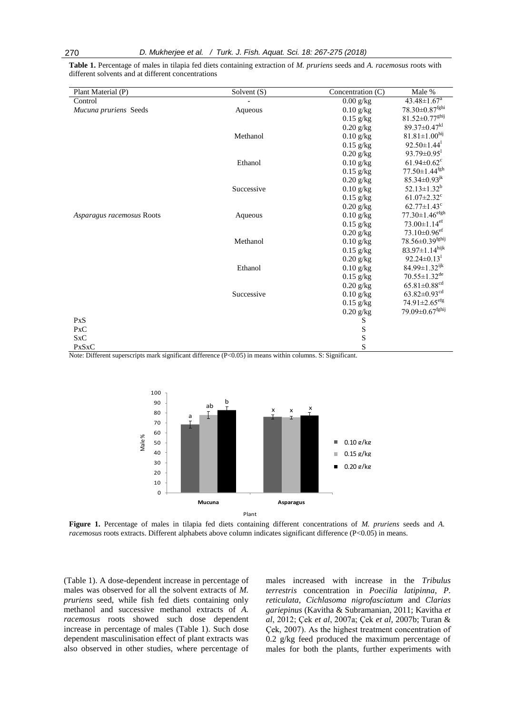| Plant Material (P)        | Solvent (S) | Concentration $(C)$ | Male %                           |
|---------------------------|-------------|---------------------|----------------------------------|
| Control                   |             | $0.00$ g/kg         | 43.48±1.67 <sup>a</sup>          |
| Mucuna pruriens Seeds     | Aqueous     | $0.10$ g/kg         | 78.30±0.87 <sup>fghi</sup>       |
|                           |             | $0.15$ g/kg         | 81.52±0.77 <sup>ghij</sup>       |
|                           |             | $0.20$ g/kg         | $89.37 \pm 0.47$ <sup>kl</sup>   |
|                           | Methanol    | $0.10$ g/kg         | $81.81 \pm 1.00^{hij}$           |
|                           |             | $0.15$ g/kg         | $92.50 \pm 1.44$ <sup>1</sup>    |
|                           |             | $0.20$ g/kg         | $93.79 \pm 0.95$ <sup>1</sup>    |
|                           | Ethanol     | $0.10$ g/kg         | $61.94 \pm 0.62$ <sup>c</sup>    |
|                           |             | $0.15$ g/kg         | $77.50 \pm 1.44$ <sup>fgh</sup>  |
|                           |             | $0.20$ g/kg         | $85.34 \pm 0.93^{jk}$            |
|                           | Successive  | $0.10$ g/kg         | $52.13 \pm 1.32^b$               |
|                           |             | $0.15$ g/kg         | $61.07 \pm 2.32$ <sup>c</sup>    |
|                           |             | $0.20$ g/kg         | $62.77 \pm 1.43$ <sup>c</sup>    |
| Asparagus racemosus Roots | Aqueous     | $0.10$ g/kg         | $77.30 \pm 1.46$ <sup>efgh</sup> |
|                           |             | $0.15$ g/kg         | $73.00 \pm 1.14$ <sup>ef</sup>   |
|                           |             | $0.20$ g/kg         | $73.10 \pm 0.96$ <sup>ef</sup>   |
|                           | Methanol    | $0.10$ g/kg         | $78.56 \pm 0.39^{\rm fghij}$     |
|                           |             | $0.15$ g/kg         | $83.97 \pm 1.14$ hijk            |
|                           |             | $0.20$ g/kg         | $92.24 \pm 0.13$ <sup>1</sup>    |
|                           | Ethanol     | $0.10$ g/kg         | 84.99±1.32 <sup>ijk</sup>        |
|                           |             | $0.15$ g/kg         | $70.55 \pm 1.32$ <sup>de</sup>   |
|                           |             | $0.20$ g/kg         | $65.81{\pm}0.88^{\text{cd}}$     |
|                           | Successive  | $0.10$ g/kg         | $63.82 \pm 0.93$ <sup>cd</sup>   |
|                           |             | $0.15$ g/kg         | $74.91 \pm 2.65$ <sup>efg</sup>  |
|                           |             | $0.20$ g/kg         | 79.09±0.67 <sup>fghij</sup>      |
| PxS                       |             | $\mathbf S$         |                                  |
| PxC                       |             | $\mathbf S$         |                                  |
| SxC                       |             | S                   |                                  |
| <b>PxSxC</b>              |             | S                   |                                  |

**Table 1.** Percentage of males in tilapia fed diets containing extraction of *M. pruriens* seeds and *A. racemosus* roots with different solvents and at different concentrations

Note: Different superscripts mark significant difference (P<0.05) in means within columns. S: Significant.



**Figure 1.** Percentage of males in tilapia fed diets containing different concentrations of *M. pruriens* seeds and *A. racemosus* roots extracts. Different alphabets above column indicates significant difference (P<0.05) in means.

(Table 1). A dose-dependent increase in percentage of males was observed for all the solvent extracts of *M. pruriens* seed, while fish fed diets containing only methanol and successive methanol extracts of *A. racemosus* roots showed such dose dependent increase in percentage of males (Table 1). Such dose dependent masculinisation effect of plant extracts was also observed in other studies, where percentage of

males increased with increase in the *Tribulus terrestris* concentration in *Poecilia latipinna*, *P. reticulata*, *Cichlasoma nigrofasciatum* and *Clarias gariepinus* (Kavitha & Subramanian, 2011; Kavitha *et al*, 2012; Çek *et al*, 2007a; Çek *et al*, 2007b; Turan & Çek, 2007). As the highest treatment concentration of 0.2 g/kg feed produced the maximum percentage of males for both the plants, further experiments with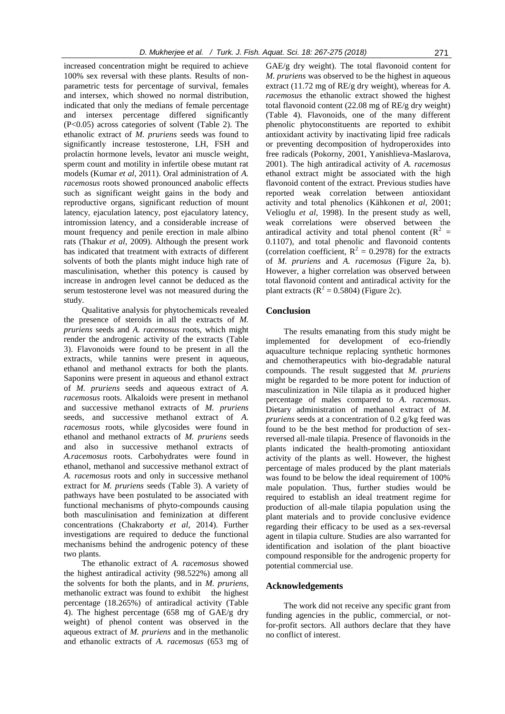increased concentration might be required to achieve 100% sex reversal with these plants. Results of nonparametric tests for percentage of survival, females and intersex, which showed no normal distribution, indicated that only the medians of female percentage and intersex percentage differed significantly (P<0.05) across categories of solvent (Table 2). The ethanolic extract of *M. pruriens* seeds was found to significantly increase testosterone, LH, FSH and prolactin hormone levels, levator ani muscle weight, sperm count and motility in infertile obese mutant rat models (Kumar *et al*, 2011). Oral administration of *A. racemosus* roots showed pronounced anabolic effects such as significant weight gains in the body and reproductive organs, significant reduction of mount latency, ejaculation latency, post ejaculatory latency, intromission latency, and a considerable increase of mount frequency and penile erection in male albino rats (Thakur *et al*, 2009). Although the present work has indicated that treatment with extracts of different solvents of both the plants might induce high rate of masculinisation, whether this potency is caused by increase in androgen level cannot be deduced as the serum testosterone level was not measured during the study.

Qualitative analysis for phytochemicals revealed the presence of steroids in all the extracts of *M. pruriens* seeds and *A. racemosus* roots, which might render the androgenic activity of the extracts (Table 3). Flavonoids were found to be present in all the extracts, while tannins were present in aqueous, ethanol and methanol extracts for both the plants. Saponins were present in aqueous and ethanol extract of *M. pruriens* seeds and aqueous extract of *A. racemosus* roots. Alkaloids were present in methanol and successive methanol extracts of *M. pruriens* seeds, and successive methanol extract of *A. racemosus* roots, while glycosides were found in ethanol and methanol extracts of *M. pruriens* seeds and also in successive methanol extracts of *A.racemosus* roots. Carbohydrates were found in ethanol, methanol and successive methanol extract of *A. racemosus* roots and only in successive methanol extract for *M. pruriens* seeds (Table 3). A variety of pathways have been postulated to be associated with functional mechanisms of phyto-compounds causing both masculinisation and feminization at different concentrations (Chakraborty *et al*, 2014). Further investigations are required to deduce the functional mechanisms behind the androgenic potency of these two plants.

The ethanolic extract of *A. racemosus* showed the highest antiradical activity (98.522%) among all the solvents for both the plants, and in *M. pruriens*, methanolic extract was found to exhibit the highest percentage (18.265%) of antiradical activity (Table 4). The highest percentage (658 mg of GAE/g dry weight) of phenol content was observed in the aqueous extract of *M. pruriens* and in the methanolic and ethanolic extracts of *A. racemosus* (653 mg of

GAE/g dry weight). The total flavonoid content for *M. pruriens* was observed to be the highest in aqueous extract (11.72 mg of RE/g dry weight), whereas for *A. racemosus* the ethanolic extract showed the highest total flavonoid content (22.08 mg of RE/g dry weight) (Table 4). Flavonoids, one of the many different phenolic phytoconstituents are reported to exhibit antioxidant activity by inactivating lipid free radicals or preventing decomposition of hydroperoxides into free radicals (Pokorny, 2001, Yanishlieva-Maslarova, 2001). The high antiradical activity of *A. racemosus* ethanol extract might be associated with the high flavonoid content of the extract. Previous studies have reported weak correlation between antioxidant activity and total phenolics (Kähkonen *et al*, 2001; Velioglu *et al*, 1998). In the present study as well, weak correlations were observed between the antiradical activity and total phenol content ( $R^2$  = 0.1107), and total phenolic and flavonoid contents (correlation coefficient,  $R^2 = 0.2978$ ) for the extracts of *M. pruriens* and *A. racemosus* (Figure 2a, b). However, a higher correlation was observed between total flavonoid content and antiradical activity for the plant extracts  $(R^2 = 0.5804)$  (Figure 2c).

# **Conclusion**

The results emanating from this study might be implemented for development of eco-friendly aquaculture technique replacing synthetic hormones and chemotherapeutics with bio-degradable natural compounds. The result suggested that *M. pruriens* might be regarded to be more potent for induction of masculinization in Nile tilapia as it produced higher percentage of males compared to *A. racemosus*. Dietary administration of methanol extract of *M. pruriens* seeds at a concentration of 0.2 g/kg feed was found to be the best method for production of sexreversed all-male tilapia. Presence of flavonoids in the plants indicated the health-promoting antioxidant activity of the plants as well. However, the highest percentage of males produced by the plant materials was found to be below the ideal requirement of 100% male population. Thus, further studies would be required to establish an ideal treatment regime for production of all-male tilapia population using the plant materials and to provide conclusive evidence regarding their efficacy to be used as a sex-reversal agent in tilapia culture. Studies are also warranted for identification and isolation of the plant bioactive compound responsible for the androgenic property for potential commercial use.

## **Acknowledgements**

The work did not receive any specific grant from funding agencies in the public, commercial, or notfor-profit sectors. All authors declare that they have no conflict of interest.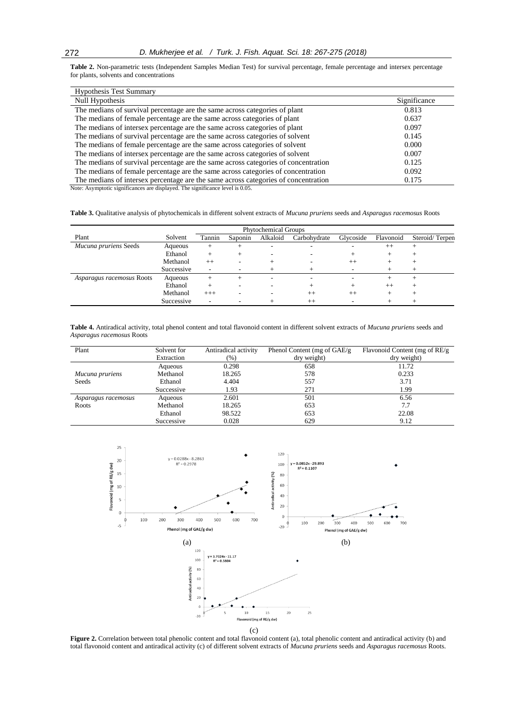**Table 2.** Non-parametric tests (Independent Samples Median Test) for survival percentage, female percentage and intersex percentage for plants, solvents and concentrations

| <b>Hypothesis Test Summary</b>                                                     |              |
|------------------------------------------------------------------------------------|--------------|
| Null Hypothesis                                                                    | Significance |
| The medians of survival percentage are the same across categories of plant         | 0.813        |
| The medians of female percentage are the same across categories of plant           | 0.637        |
| The medians of intersex percentage are the same across categories of plant         | 0.097        |
| The medians of survival percentage are the same across categories of solvent       | 0.145        |
| The medians of female percentage are the same across categories of solvent         | 0.000        |
| The medians of intersex percentage are the same across categories of solvent       | 0.007        |
| The medians of survival percentage are the same across categories of concentration | 0.125        |
| The medians of female percentage are the same across categories of concentration   | 0.092        |
| The medians of intersex percentage are the same across categories of concentration | 0.175        |

Note: Asymptotic significances are displayed. The significance level is 0.05.

**Table 3.** Qualitative analysis of phytochemicals in different solvent extracts of *Mucuna pruriens* seeds and *Asparagus racemosus* Roots

| <b>Phytochemical Groups</b> |            |                          |         |                          |              |           |           |                |
|-----------------------------|------------|--------------------------|---------|--------------------------|--------------|-----------|-----------|----------------|
| Plant                       | Solvent    | Tannin                   | Saponin | Alkaloid                 | Carbohydrate | Glycoside | Flavonoid | Steroid/Terpen |
| Mucuna pruriens Seeds       | Aqueous    | $^+$                     |         | $\overline{\phantom{a}}$ |              |           | $++$      |                |
|                             | Ethanol    | $^+$                     |         | $\overline{\phantom{a}}$ |              |           |           |                |
|                             | Methanol   | $^{++}$                  |         |                          |              | $^{++}$   |           |                |
|                             | Successive | $\overline{\phantom{a}}$ |         |                          |              |           |           |                |
| Asparagus racemosus Roots   | Aqueous    | $^{+}$                   |         | $\overline{\phantom{a}}$ | -            | ۰         |           |                |
|                             | Ethanol    | $^+$                     |         | ۰                        |              |           | $^{++}$   |                |
|                             | Methanol   | $+++$                    |         |                          | $^{++}$      | $^{++}$   |           |                |
|                             | Successive | ۰                        |         |                          | $^{++}$      |           |           |                |

**Table 4.** Antiradical activity, total phenol content and total flavonoid content in different solvent extracts of *Mucuna pruriens* seeds and *Asparagus racemosus* Roots

| Plant               | Solvent for<br>Extraction | Antiradical activity<br>$(\% )$ | Phenol Content (mg of $GAE/g$ )<br>dry weight) | Flavonoid Content (mg of RE/g<br>dry weight) |
|---------------------|---------------------------|---------------------------------|------------------------------------------------|----------------------------------------------|
|                     | Aqueous                   | 0.298                           | 658                                            | 11.72                                        |
| Mucuna pruriens     | Methanol                  | 18.265                          | 578                                            | 0.233                                        |
| Seeds               | Ethanol                   | 4.404                           | 557                                            | 3.71                                         |
|                     | Successive                | 1.93                            | 271                                            | 1.99                                         |
| Asparagus racemosus | Aqueous                   | 2.601                           | 501                                            | 6.56                                         |
| Roots               | Methanol                  | 18.265                          | 653                                            | 7.7                                          |
|                     | Ethanol                   | 98.522                          | 653                                            | 22.08                                        |
|                     | Successive                | 0.028                           | 629                                            | 9.12                                         |



**Figure 2.** Correlation between total phenolic content and total flavonoid content (a), total phenolic content and antiradical activity (b) and total flavonoid content and antiradical activity (c) of different solvent extracts of *Mucuna pruriens* seeds and *Asparagus racemosus* Roots.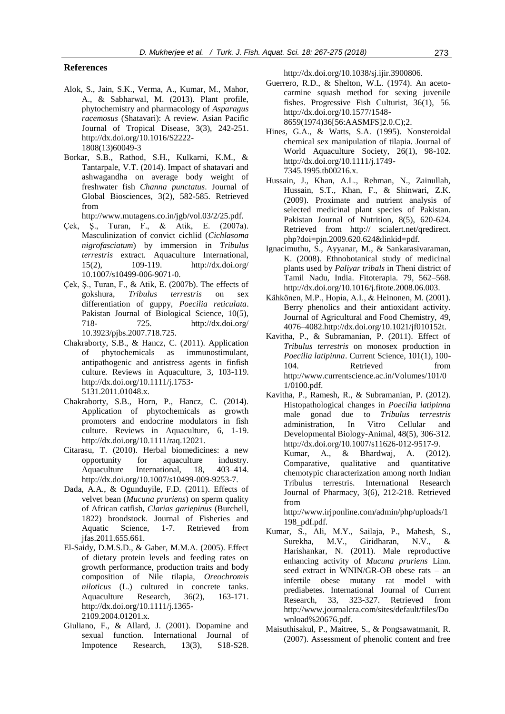## **References**

- Alok, S., Jain, S.K., Verma, A., Kumar, M., Mahor, A., & Sabharwal, M. (2013). Plant profile, phytochemistry and pharmacology of *Asparagus racemosus* (Shatavari): A review. Asian Pacific Journal of Tropical Disease, 3(3), 242-251. http://dx.doi.org/10.1016/S2222- 1808(13)60049-3
- Borkar, S.B., Rathod, S.H., Kulkarni, K.M., & Tantarpale, V.T. (2014). Impact of shatavari and ashwagandha on average body weight of freshwater fish *Channa punctatus*. Journal of Global Biosciences, 3(2), 582-585. Retrieved from

http://www.mutagens.co.in/jgb/vol.03/2/25.pdf.

- Çek, Ş., Turan, F., & Atik, E. (2007a). Masculinization of convict cichlid (*Cichlasoma nigrofasciatum*) by immersion in *Tribulus terrestris* extract. Aquaculture International, 15(2), 109-119. http://dx.doi.org/ 10.1007/s10499-006-9071-0.
- Çek, Ş., Turan, F., & Atik, E. (2007b). The effects of gokshura, *Tribulus terrestris* on sex differentiation of guppy, *Poecilia reticulata*. Pakistan Journal of Biological Science, 10(5), 718- 725. http://dx.doi.org/ 10.3923/pjbs.2007.718.725.
- Chakraborty, S.B., & Hancz, C. (2011). Application of phytochemicals as immunostimulant, antipathogenic and antistress agents in finfish culture. Reviews in Aquaculture, 3, 103-119. http://dx.doi.org/10.1111/j.1753- 5131.2011.01048.x.
- Chakraborty, S.B., Horn, P., Hancz, C. (2014). Application of phytochemicals as growth promoters and endocrine modulators in fish culture. Reviews in Aquaculture, 6, 1-19. http://dx.doi.org/10.1111/raq.12021.
- Citarasu, T. (2010). Herbal biomedicines: a new opportunity for aquaculture industry. Aquaculture International, 18, 403–414. http://dx.doi.org/10.1007/s10499-009-9253-7.
- Dada, A.A., & Ogunduyile, F.D. (2011). Effects of velvet bean (*Mucuna pruriens*) on sperm quality of African catfish, *Clarias gariepinus* (Burchell, 1822) broodstock. Journal of Fisheries and Aquatic Science, 1-7. Retrieved from jfas.2011.655.661.
- El-Saidy, D.M.S.D., & Gaber, M.M.A. (2005). Effect of dietary protein levels and feeding rates on growth performance, production traits and body composition of Nile tilapia, *Oreochromis niloticus* (L.) cultured in concrete tanks. Aquaculture Research, 36(2), 163-171. http://dx.doi.org/10.1111/j.1365- 2109.2004.01201.x.
- Giuliano, F., & Allard, J. (2001). Dopamine and sexual function. International Journal of Impotence Research, 13(3), S18-S28.

http://dx.doi.org/10.1038/sj.ijir.3900806.

- Guerrero, R.D., & Shelton, W.L. (1974). An acetocarmine squash method for sexing juvenile fishes. Progressive Fish Culturist, 36(1), 56. http://dx.doi.org/10.1577/1548- 8659(1974)36[56:AASMFS]2.0.C);2.
- Hines, G.A., & Watts, S.A. (1995). Nonsteroidal chemical sex manipulation of tilapia. Journal of World Aquaculture Society, 26(1), 98-102. http://dx.doi.org/10.1111/j.1749- 7345.1995.tb00216.x.
- Hussain, J., Khan, A.L., Rehman, N., Zainullah, Hussain, S.T., Khan, F., & Shinwari, Z.K. (2009). Proximate and nutrient analysis of selected medicinal plant species of Pakistan. Pakistan Journal of Nutrition, 8(5), 620-624. Retrieved from http:// scialert.net/qredirect. php?doi=pjn.2009.620.624&linkid=pdf.
- Ignacimuthu, S., Ayyanar, M., & Sankarasivaraman, K. (2008). Ethnobotanical study of medicinal plants used by *Paliyar tribals* in Theni district of Tamil Nadu, India. Fitoterapia. 79, 562–568. http://dx.doi.org/10.1016/j.fitote.2008.06.003.
- Kähkönen, M.P., Hopia, A.I., & Heinonen, M. (2001). Berry phenolics and their antioxidant activity. Journal of Agricultural and Food Chemistry, 49, 4076–4082.http://dx.doi.org/10.1021/jf010152t.
- Kavitha, P., & Subramanian, P. (2011). Effect of *Tribulus terrestris* on monosex production in *Poecilia latipinna*. Current Science, 101(1), 100- 104. Retrieved from http://www.currentscience.ac.in/Volumes/101/0 1/0100.pdf.
- Kavitha, P., Ramesh, R., & Subramanian, P. (2012). Histopathological changes in *Poecilia latipinna* male gonad due to *Tribulus terrestris* administration, In Vitro Cellular and Developmental Biology-Animal, 48(5), 306-312. http://dx.doi.org/10.1007/s11626-012-9517-9. Kumar, A., & Bhardwaj, A. (2012). Comparative, qualitative and quantitative chemotypic characterization among north Indian Tribulus terrestris. International Research Journal of Pharmacy, 3(6), 212-218. Retrieved from

http://www.irjponline.com/admin/php/uploads/1 198\_pdf.pdf.

- Kumar, S., Ali, M.Y., Sailaja, P., Mahesh, S., Surekha, M.V., Giridharan, N.V., & Harishankar, N. (2011). Male reproductive enhancing activity of *Mucuna pruriens* Linn. seed extract in WNIN/GR-OB obese rats – an infertile obese mutany rat model with prediabetes. International Journal of Current Research, 33, 323-327. Retrieved from http://www.journalcra.com/sites/default/files/Do wnload%20676.pdf.
- Maisuthisakul, P., Maitree, S., & Pongsawatmanit, R. (2007). Assessment of phenolic content and free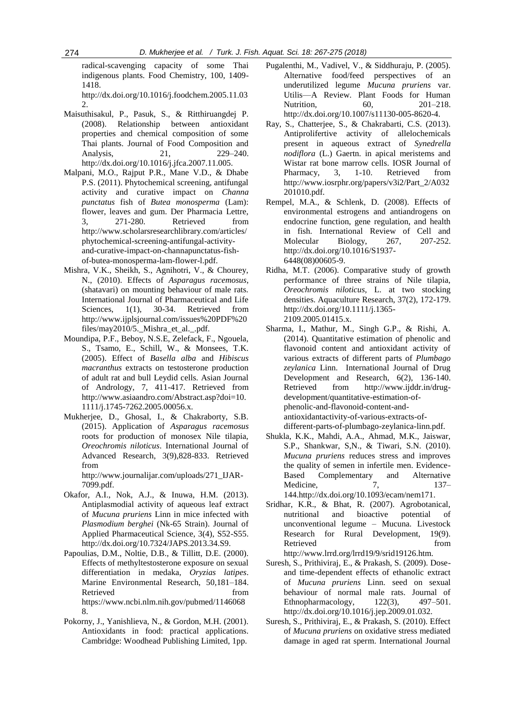radical-scavenging capacity of some Thai indigenous plants. Food Chemistry, 100, 1409- 1418.

http://dx.doi.org/10.1016/j.foodchem.2005.11.03 2.

- Maisuthisakul, P., Pasuk, S., & Ritthiruangdej P. (2008). Relationship between antioxidant properties and chemical composition of some Thai plants. Journal of Food Composition and Analysis, 21, 229–240. http://dx.doi.org/10.1016/j.jfca.2007.11.005.
- Malpani, M.O., Rajput P.R., Mane V.D., & Dhabe P.S. (2011). Phytochemical screening, antifungal activity and curative impact on *Channa punctatus* fish of *Butea monosperma* (Lam): flower, leaves and gum. Der Pharmacia Lettre, 3, 271-280. Retrieved from http://www.scholarsresearchlibrary.com/articles/ phytochemical-screening-antifungal-activityand-curative-impact-on-channapunctatus-fishof-butea-monosperma-lam-flower-l.pdf.
- Mishra, V.K., Sheikh, S., Agnihotri, V., & Chourey, N., (2010). Effects of *Asparagus racemosus*, (shatavari) on mounting behaviour of male rats. International Journal of Pharmaceutical and Life Sciences, 1(1), 30-34. Retrieved from http://www.ijplsjournal.com/issues%20PDF%20 files/may2010/5.\_Mishra\_et\_al.\_.pdf.
- Moundipa, P.F., Beboy, N.S.E, Zelefack, F., Ngouela, S., Tsamo, E., Schill, W., & Monsees, T.K. (2005). Effect of *Basella alba* and *Hibiscus macranthus* extracts on testosterone production of adult rat and bull Leydid cells. Asian Journal of Andrology, 7, 411-417. Retrieved from http://www.asiaandro.com/Abstract.asp?doi=10. 1111/j.1745-7262.2005.00056.x.
- Mukherjee, D., Ghosal, I., & Chakraborty, S.B. (2015). Application of *Asparagus racemosus* roots for production of monosex Nile tilapia, *Oreochromis niloticus*. International Journal of Advanced Research, 3(9),828-833. Retrieved from

http://www.journalijar.com/uploads/271\_IJAR-7099.pdf.

- Okafor, A.I., Nok, A.J., & Inuwa, H.M. (2013). Antiplasmodial activity of aqueous leaf extract of *Mucuna pruriens* Linn in mice infected with *Plasmodium berghei* (Nk-65 Strain). Journal of Applied Pharmaceutical Science, 3(4), S52-S55. http://dx.doi.org/10.7324/JAPS.2013.34.S9.
- Papoulias, D.M., Noltie, D.B., & Tillitt, D.E. (2000). Effects of methyltestosterone exposure on sexual differentiation in medaka, *Oryzias latipes*. Marine Environmental Research, 50,181–184. Retrieved from https://www.ncbi.nlm.nih.gov/pubmed/1146068 8.
- Pokorny, J., Yanishlieva, N., & Gordon, M.H. (2001). Antioxidants in food: practical applications. Cambridge: Woodhead Publishing Limited, 1pp.
- Pugalenthi, M., Vadivel, V., & Siddhuraju, P. (2005). Alternative food/feed perspectives of an underutilized legume *Mucuna pruriens* var. Utilis—A Review. Plant Foods for Human Nutrition, 60, 201–218. http://dx.doi.org/10.1007/s11130-005-8620-4.
- Ray, S., Chatterjee, S., & Chakrabarti, C.S. (2013). Antiprolifertive activity of allelochemicals present in aqueous extract of *Synedrella nodiflora* (L.) Gaertn. in apical meristems and Wistar rat bone marrow cells. IOSR Journal of Pharmacy, 3, 1-10. Retrieved from http://www.iosrphr.org/papers/v3i2/Part\_2/A032 201010.pdf.
- Rempel, M.A., & Schlenk, D. (2008). Effects of environmental estrogens and antiandrogens on endocrine function, gene regulation, and health in fish. International Review of Cell and Molecular Biology, 267, 207-252. http://dx.doi.org/10.1016/S1937- 6448(08)00605-9.
- Ridha, M.T. (2006). Comparative study of growth performance of three strains of Nile tilapia, *Oreochromis niloticus,* L. at two stocking densities. Aquaculture Research, 37(2), 172-179. http://dx.doi.org/10.1111/j.1365- 2109.2005.01415.x.
- Sharma, I., Mathur, M., Singh G.P., & Rishi, A. (2014). Quantitative estimation of phenolic and flavonoid content and antioxidant activity of various extracts of different parts of *Plumbago zeylanica* Linn. International Journal of Drug Development and Research, 6(2), 136-140. Retrieved from http://www.ijddr.in/drugdevelopment/quantitative-estimation-ofphenolic-and-flavonoid-content-andantioxidantactivity-of-various-extracts-ofdifferent-parts-of-plumbago-zeylanica-linn.pdf.
- Shukla, K.K., Mahdi, A.A., Ahmad, M.K., Jaiswar, S.P., Shankwar, S,N., & Tiwari, S.N. (2010). *Mucuna pruriens* reduces stress and improves the quality of semen in infertile men. Evidence-Based Complementary and Alternative Medicine, 7, 137– 144.http://dx.doi.org/10.1093/ecam/nem171.
- Sridhar, K.R., & Bhat, R. (2007). Agrobotanical, nutritional and bioactive potential of unconventional legume – Mucuna. Livestock Research for Rural Development, 19(9). Retrieved from http://www.lrrd.org/lrrd19/9/srid19126.htm.
- Suresh, S., Prithiviraj, E., & Prakash, S. (2009). Doseand time-dependent effects of ethanolic extract of *Mucuna pruriens* Linn. seed on sexual behaviour of normal male rats. Journal of Ethnopharmacology, 122(3), 497–501. http://dx.doi.org/10.1016/j.jep.2009.01.032.
- Suresh, S., Prithiviraj, E., & Prakash, S. (2010). Effect of *Mucuna pruriens* on oxidative stress mediated damage in aged rat sperm. International Journal